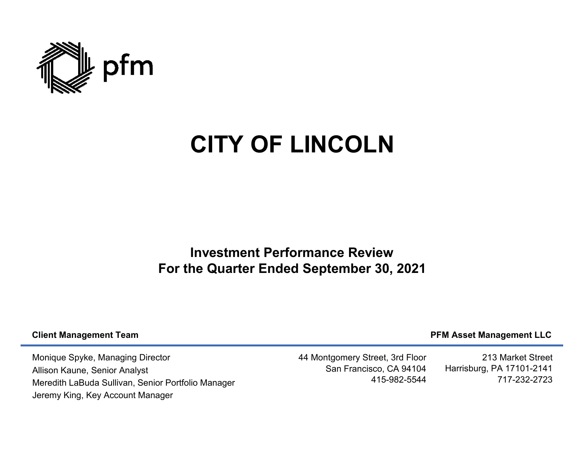

## **CITY OF LINCOLN**

**Investment Performance ReviewFor the Quarter Ended September 30, 2021**

## **Client Management Team**

## **PFM Asset Management LLC**

Monique Spyke, Managing DirectorAllison Kaune, Senior AnalystMeredith LaBuda Sullivan, Senior Portfolio Manager Jeremy King, Key Account Manager

44 Montgomery Street, 3rd Floor San Francisco, CA 94104415-982-5544

213 Market Street Harrisburg, PA 17101-2141717-232-2723